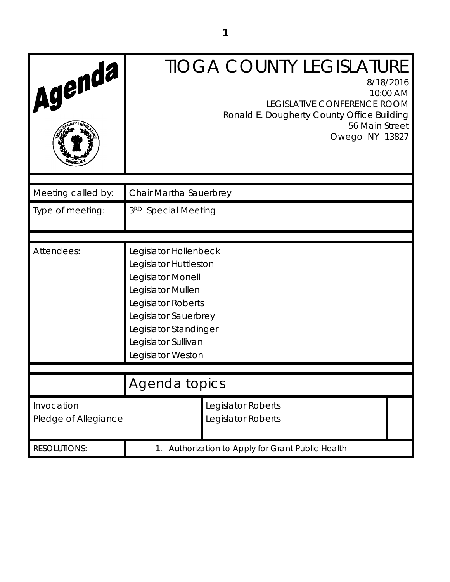| Agenda                             |                                                                                                                                                                                                             | <b>TIOGA COUNTY LEGISLATURE</b><br>8/18/2016<br>10:00 AM<br>LEGISLATIVE CONFERENCE ROOM<br>Ronald E. Dougherty County Office Building<br>56 Main Street<br>Owego NY 13827 |
|------------------------------------|-------------------------------------------------------------------------------------------------------------------------------------------------------------------------------------------------------------|---------------------------------------------------------------------------------------------------------------------------------------------------------------------------|
| Meeting called by:                 | Chair Martha Sauerbrey                                                                                                                                                                                      |                                                                                                                                                                           |
| Type of meeting:                   | 3RD Special Meeting                                                                                                                                                                                         |                                                                                                                                                                           |
| Attendees:                         | Legislator Hollenbeck<br>Legislator Huttleston<br>Legislator Monell<br>Legislator Mullen<br>Legislator Roberts<br>Legislator Sauerbrey<br>Legislator Standinger<br>Legislator Sullivan<br>Legislator Weston |                                                                                                                                                                           |
|                                    | Agenda topics                                                                                                                                                                                               |                                                                                                                                                                           |
| Invocation<br>Pledge of Allegiance |                                                                                                                                                                                                             | Legislator Roberts<br>Legislator Roberts                                                                                                                                  |
| <b>RESOLUTIONS:</b>                | Authorization to Apply for Grant Public Health<br>1.                                                                                                                                                        |                                                                                                                                                                           |